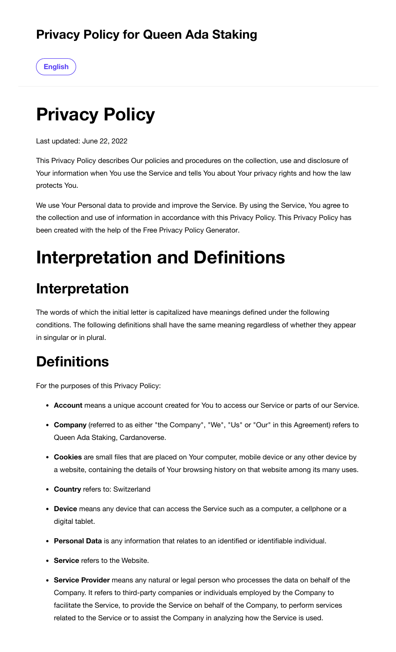### **Privacy Policy for Queen Ada Staking**



# <span id="page-0-0"></span>**Privacy Policy**

Last updated: June 22, 2022

This Privacy Policy describes Our policies and procedures on the collection, use and disclosure of Your information when You use the Service and tells You about Your privacy rights and how the law protects You.

We use Your Personal data to provide and improve the Service. By using the Service, You agree to the collection and use of information in accordance with this Privacy Policy. This Privacy Policy has been created with the help of the Free [Privacy Policy Generator.](https://www.freeprivacypolicy.com/free-privacy-policy-generator/)

# **Interpretation and Definitions**

## **Interpretation**

The words of which the initial letter is capitalized have meanings defined under the following conditions. The following definitions shall have the same meaning regardless of whether they appear in singular or in plural.

## **Definitions**

For the purposes of this Privacy Policy:

- **Account** means a unique account created for You to access our Service or parts of our Service.
- **Company** (referred to as either "the Company", "We", "Us" or "Our" in this Agreement) refers to Queen Ada Staking, Cardanoverse.
- **Cookies** are small files that are placed on Your computer, mobile device or any other device by a website, containing the details of Your browsing history on that website among its many uses.
- **Country** refers to: Switzerland
- **Device** means any device that can access the Service such as a computer, a cellphone or a digital tablet.
- **Personal Data** is any information that relates to an identified or identifiable individual.
- **Service** refers to the Website.
- **Service Provider** means any natural or legal person who processes the data on behalf of the Company. It refers to third-party companies or individuals employed by the Company to facilitate the Service, to provide the Service on behalf of the Company, to perform services related to the Service or to assist the Company in analyzing how the Service is used.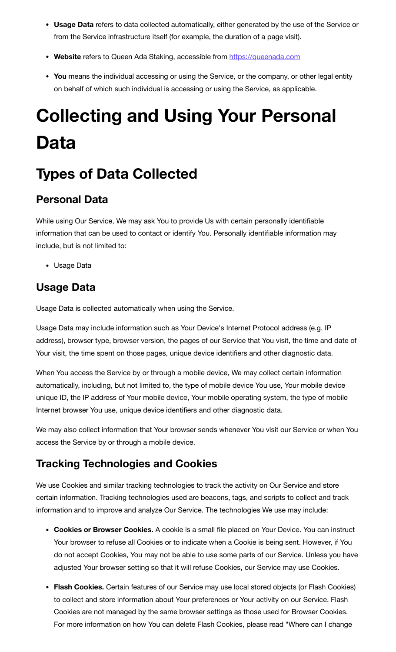- **Usage Data** refers to data collected automatically, either generated by the use of the Service or from the Service infrastructure itself (for example, the duration of a page visit).
- Website refers to Queen Ada Staking, accessible from [https://queenada.com](https://queenada.com/)
- **You** means the individual accessing or using the Service, or the company, or other legal entity on behalf of which such individual is accessing or using the Service, as applicable.

# **Collecting and Using Your Personal Data**

## **Types of Data Collected**

#### **Personal Data**

While using Our Service, We may ask You to provide Us with certain personally identifiable information that can be used to contact or identify You. Personally identifiable information may include, but is not limited to:

Usage Data

#### **Usage Data**

Usage Data is collected automatically when using the Service.

Usage Data may include information such as Your Device's Internet Protocol address (e.g. IP address), browser type, browser version, the pages of our Service that You visit, the time and date of Your visit, the time spent on those pages, unique device identifiers and other diagnostic data.

When You access the Service by or through a mobile device, We may collect certain information automatically, including, but not limited to, the type of mobile device You use, Your mobile device unique ID, the IP address of Your mobile device, Your mobile operating system, the type of mobile Internet browser You use, unique device identifiers and other diagnostic data.

We may also collect information that Your browser sends whenever You visit our Service or when You access the Service by or through a mobile device.

### **Tracking Technologies and Cookies**

We use Cookies and similar tracking technologies to track the activity on Our Service and store certain information. Tracking technologies used are beacons, tags, and scripts to collect and track information and to improve and analyze Our Service. The technologies We use may include:

- **Cookies or Browser Cookies.** A cookie is a small file placed on Your Device. You can instruct Your browser to refuse all Cookies or to indicate when a Cookie is being sent. However, if You do not accept Cookies, You may not be able to use some parts of our Service. Unless you have adjusted Your browser setting so that it will refuse Cookies, our Service may use Cookies.
- **Flash Cookies.** Certain features of our Service may use local stored objects (or Flash Cookies) to collect and store information about Your preferences or Your activity on our Service. Flash Cookies are not managed by the same browser settings as those used for Browser Cookies. For more information on how You can delete Flash Cookies, please read "Where can I change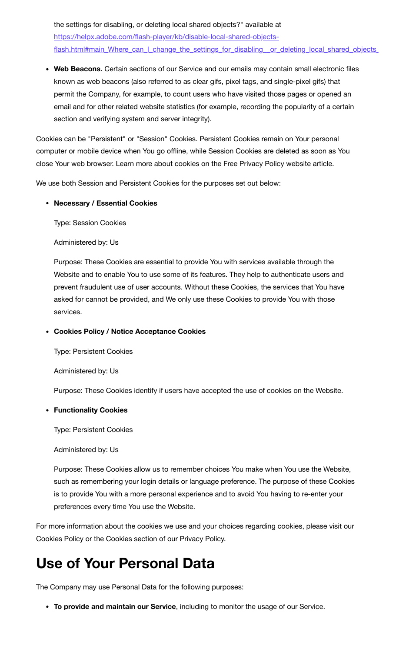the settings for disabling, or deleting local shared objects?" available at https://helpx.adobe.com/flash-player/kb/disable-local-shared-objects[flash.html#main\\_Where\\_can\\_I\\_change\\_the\\_settings\\_for\\_disabling\\_\\_or\\_deleting\\_local\\_shared\\_objects\\_](https://helpx.adobe.com/flash-player/kb/disable-local-shared-objects-flash.html#main_Where_can_I_change_the_settings_for_disabling__or_deleting_local_shared_objects_)

**Web Beacons.** Certain sections of our Service and our emails may contain small electronic files known as web beacons (also referred to as clear gifs, pixel tags, and single-pixel gifs) that permit the Company, for example, to count users who have visited those pages or opened an email and for other related website statistics (for example, recording the popularity of a certain section and verifying system and server integrity).

Cookies can be "Persistent" or "Session" Cookies. Persistent Cookies remain on Your personal computer or mobile device when You go offline, while Session Cookies are deleted as soon as You close Your web browser. Learn more about cookies on the Free [Privacy Policy website](https://www.freeprivacypolicy.com/blog/sample-privacy-policy-template/#Use_Of_Cookies_And_Tracking) article.

We use both Session and Persistent Cookies for the purposes set out below:

#### **Necessary / Essential Cookies**

Type: Session Cookies

Administered by: Us

Purpose: These Cookies are essential to provide You with services available through the Website and to enable You to use some of its features. They help to authenticate users and prevent fraudulent use of user accounts. Without these Cookies, the services that You have asked for cannot be provided, and We only use these Cookies to provide You with those services.

#### **Cookies Policy / Notice Acceptance Cookies**

Type: Persistent Cookies

Administered by: Us

Purpose: These Cookies identify if users have accepted the use of cookies on the Website.

#### **Functionality Cookies**

Type: Persistent Cookies

#### Administered by: Us

Purpose: These Cookies allow us to remember choices You make when You use the Website, such as remembering your login details or language preference. The purpose of these Cookies is to provide You with a more personal experience and to avoid You having to re-enter your preferences every time You use the Website.

For more information about the cookies we use and your choices regarding cookies, please visit our Cookies Policy or the Cookies section of our Privacy Policy.

## **Use of Your Personal Data**

The Company may use Personal Data for the following purposes:

**To provide and maintain our Service**, including to monitor the usage of our Service.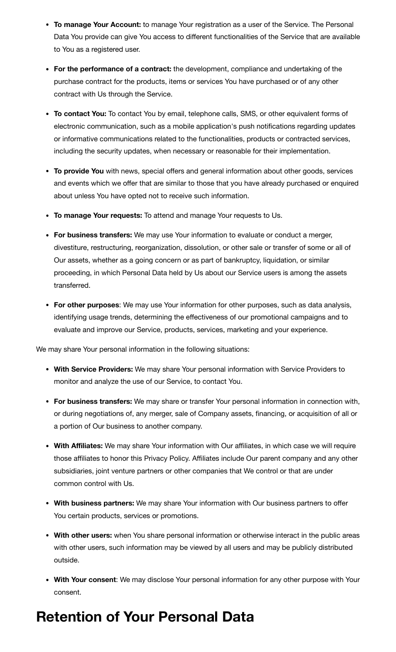- **To manage Your Account:** to manage Your registration as a user of the Service. The Personal Data You provide can give You access to different functionalities of the Service that are available to You as a registered user.
- **For the performance of a contract:** the development, compliance and undertaking of the purchase contract for the products, items or services You have purchased or of any other contract with Us through the Service.
- **To contact You:** To contact You by email, telephone calls, SMS, or other equivalent forms of electronic communication, such as a mobile application's push notifications regarding updates or informative communications related to the functionalities, products or contracted services, including the security updates, when necessary or reasonable for their implementation.
- **To provide You** with news, special offers and general information about other goods, services and events which we offer that are similar to those that you have already purchased or enquired about unless You have opted not to receive such information.
- **To manage Your requests:** To attend and manage Your requests to Us.
- **For business transfers:** We may use Your information to evaluate or conduct a merger, divestiture, restructuring, reorganization, dissolution, or other sale or transfer of some or all of Our assets, whether as a going concern or as part of bankruptcy, liquidation, or similar proceeding, in which Personal Data held by Us about our Service users is among the assets transferred.
- **For other purposes**: We may use Your information for other purposes, such as data analysis, identifying usage trends, determining the effectiveness of our promotional campaigns and to evaluate and improve our Service, products, services, marketing and your experience.

We may share Your personal information in the following situations:

- **With Service Providers:** We may share Your personal information with Service Providers to monitor and analyze the use of our Service, to contact You.
- **For business transfers:** We may share or transfer Your personal information in connection with, or during negotiations of, any merger, sale of Company assets, financing, or acquisition of all or a portion of Our business to another company.
- **With Affiliates:** We may share Your information with Our affiliates, in which case we will require those affiliates to honor this Privacy Policy. Affiliates include Our parent company and any other subsidiaries, joint venture partners or other companies that We control or that are under common control with Us.
- **With business partners:** We may share Your information with Our business partners to offer You certain products, services or promotions.
- **With other users:** when You share personal information or otherwise interact in the public areas with other users, such information may be viewed by all users and may be publicly distributed outside.
- **With Your consent**: We may disclose Your personal information for any other purpose with Your consent.

## **Retention of Your Personal Data**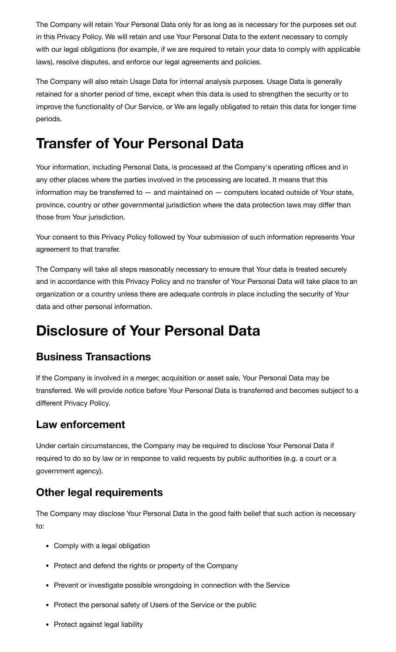The Company will retain Your Personal Data only for as long as is necessary for the purposes set out in this Privacy Policy. We will retain and use Your Personal Data to the extent necessary to comply with our legal obligations (for example, if we are required to retain your data to comply with applicable laws), resolve disputes, and enforce our legal agreements and policies.

The Company will also retain Usage Data for internal analysis purposes. Usage Data is generally retained for a shorter period of time, except when this data is used to strengthen the security or to improve the functionality of Our Service, or We are legally obligated to retain this data for longer time periods.

## **Transfer of Your Personal Data**

Your information, including Personal Data, is processed at the Company's operating offices and in any other places where the parties involved in the processing are located. It means that this information may be transferred to — and maintained on — computers located outside of Your state, province, country or other governmental jurisdiction where the data protection laws may differ than those from Your jurisdiction.

Your consent to this Privacy Policy followed by Your submission of such information represents Your agreement to that transfer.

The Company will take all steps reasonably necessary to ensure that Your data is treated securely and in accordance with this Privacy Policy and no transfer of Your Personal Data will take place to an organization or a country unless there are adequate controls in place including the security of Your data and other personal information.

## **Disclosure of Your Personal Data**

### **Business Transactions**

If the Company is involved in a merger, acquisition or asset sale, Your Personal Data may be transferred. We will provide notice before Your Personal Data is transferred and becomes subject to a different Privacy Policy.

#### **Law enforcement**

Under certain circumstances, the Company may be required to disclose Your Personal Data if required to do so by law or in response to valid requests by public authorities (e.g. a court or a government agency).

### **Other legal requirements**

The Company may disclose Your Personal Data in the good faith belief that such action is necessary to:

- Comply with a legal obligation
- Protect and defend the rights or property of the Company
- Prevent or investigate possible wrongdoing in connection with the Service
- Protect the personal safety of Users of the Service or the public
- Protect against legal liability